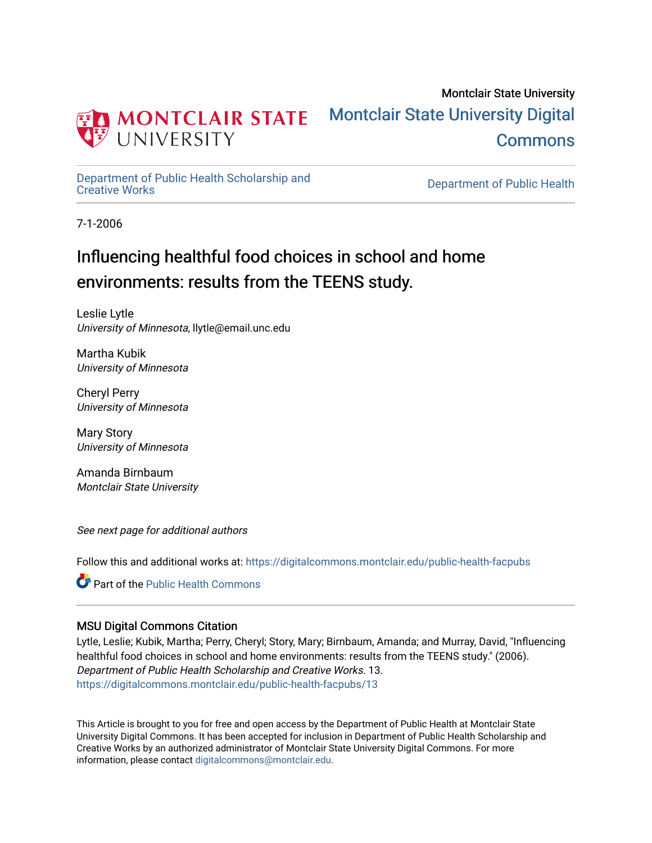

# Montclair State University [Montclair State University Digital](https://digitalcommons.montclair.edu/)  [Commons](https://digitalcommons.montclair.edu/)

[Department of Public Health Scholarship and](https://digitalcommons.montclair.edu/public-health-facpubs) 

Department of Public Health

7-1-2006

# Influencing healthful food choices in school and home environments: results from the TEENS study.

Leslie Lytle University of Minnesota, llytle@email.unc.edu

Martha Kubik University of Minnesota

Cheryl Perry University of Minnesota

Mary Story University of Minnesota

Amanda Birnbaum Montclair State University

See next page for additional authors

Follow this and additional works at: [https://digitalcommons.montclair.edu/public-health-facpubs](https://digitalcommons.montclair.edu/public-health-facpubs?utm_source=digitalcommons.montclair.edu%2Fpublic-health-facpubs%2F13&utm_medium=PDF&utm_campaign=PDFCoverPages) 

**C** Part of the Public Health Commons

# MSU Digital Commons Citation

Lytle, Leslie; Kubik, Martha; Perry, Cheryl; Story, Mary; Birnbaum, Amanda; and Murray, David, "Influencing healthful food choices in school and home environments: results from the TEENS study." (2006). Department of Public Health Scholarship and Creative Works. 13. [https://digitalcommons.montclair.edu/public-health-facpubs/13](https://digitalcommons.montclair.edu/public-health-facpubs/13?utm_source=digitalcommons.montclair.edu%2Fpublic-health-facpubs%2F13&utm_medium=PDF&utm_campaign=PDFCoverPages) 

This Article is brought to you for free and open access by the Department of Public Health at Montclair State University Digital Commons. It has been accepted for inclusion in Department of Public Health Scholarship and Creative Works by an authorized administrator of Montclair State University Digital Commons. For more information, please contact [digitalcommons@montclair.edu](mailto:digitalcommons@montclair.edu).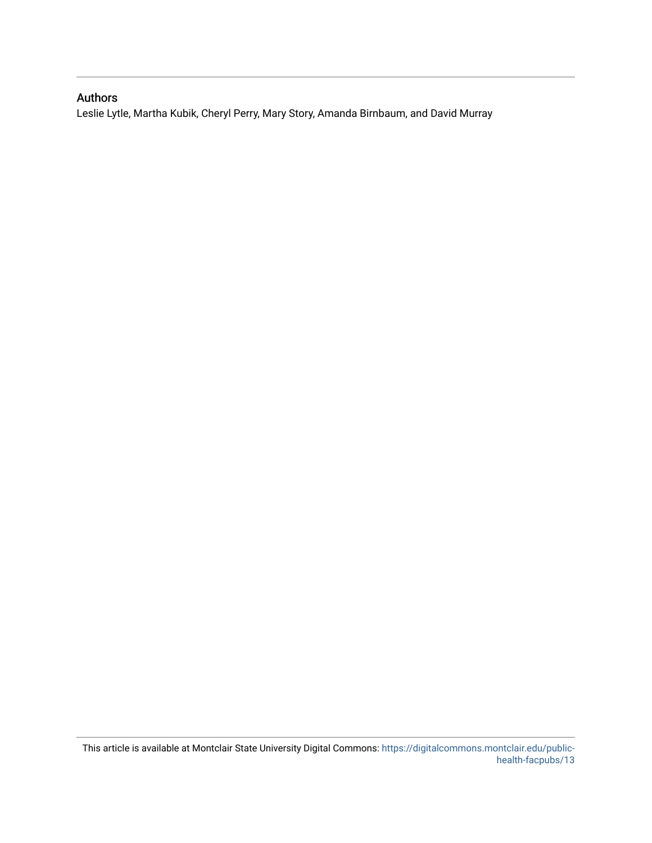# Authors

Leslie Lytle, Martha Kubik, Cheryl Perry, Mary Story, Amanda Birnbaum, and David Murray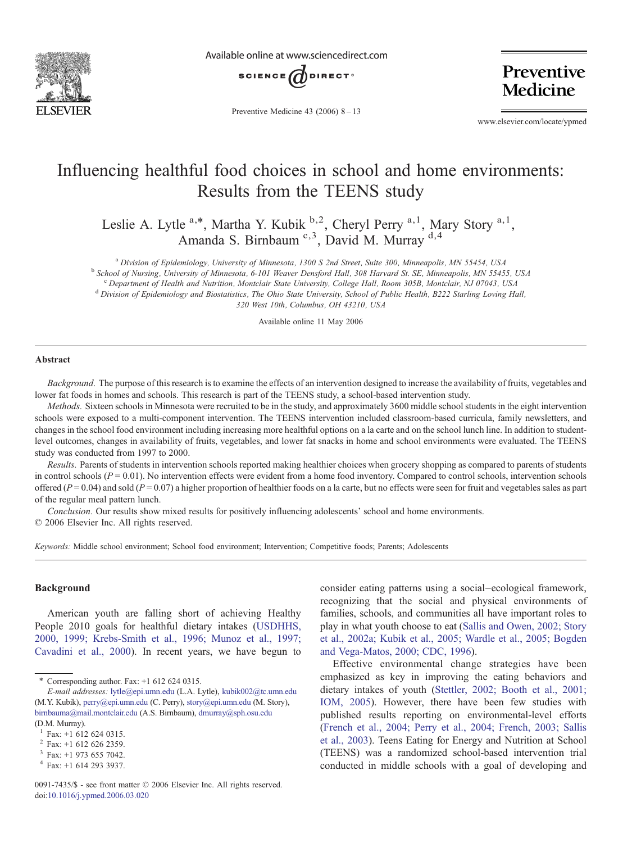

Available online at www.sciencedirect.com



Preventive **Medicine** 

Preventive Medicine 43 (2006) 8–13

www.elsevier.com/locate/ypmed

# Influencing healthful food choices in school and home environments: Results from the TEENS study

Leslie A. Lytle  $a, *$ , Martha Y. Kubik  $b, 2$ , Cheryl Perry  $a, 1$ , Mary Story  $a, 1$ , Amanda S. Birnbaum <sup>c, 3</sup>, David M. Murray <sup>d, 4</sup>

<sup>a</sup> Division of Epidemiology, University of Minnesota, 1300 S 2nd Street, Suite 300, Minneapolis, MN 55454, USA<br><sup>b</sup> School of Nursing, University of Minnesota, 6-101 Weaver Densford Hall, 308 Harvard St. SE, Minneapolis, M

 $^{\circ}$  Department of Health and Nutrition, Montclair State University, College Hall, Room 305B, Montclair, NJ 07043, USA dDivision of Epidemiology and Biostatistics, The Ohio State University, School of Public Health, B22

320 West 10th, Columbus, OH 43210, USA

Available online 11 May 2006

## Abstract

Background. The purpose of this research is to examine the effects of an intervention designed to increase the availability of fruits, vegetables and lower fat foods in homes and schools. This research is part of the TEENS study, a school-based intervention study.

Methods. Sixteen schools in Minnesota were recruited to be in the study, and approximately 3600 middle school students in the eight intervention schools were exposed to a multi-component intervention. The TEENS intervention included classroom-based curricula, family newsletters, and changes in the school food environment including increasing more healthful options on a la carte and on the school lunch line. In addition to studentlevel outcomes, changes in availability of fruits, vegetables, and lower fat snacks in home and school environments were evaluated. The TEENS study was conducted from 1997 to 2000.

Results. Parents of students in intervention schools reported making healthier choices when grocery shopping as compared to parents of students in control schools  $(P = 0.01)$ . No intervention effects were evident from a home food inventory. Compared to control schools, intervention schools offered  $(P = 0.04)$  and sold  $(P = 0.07)$  a higher proportion of healthier foods on a la carte, but no effects were seen for fruit and vegetables sales as part of the regular meal pattern lunch.

Conclusion. Our results show mixed results for positively influencing adolescents' school and home environments. © 2006 Elsevier Inc. All rights reserved.

Keywords: Middle school environment; School food environment; Intervention; Competitive foods; Parents; Adolescents

# Background

American youth are falling short of achieving Healthy People 2010 goals for healthful dietary intakes ([USDHHS,](#page-7-0) [2000, 1999; Krebs-Smith et al., 1996; Munoz et al., 1997;](#page-7-0) [Cavadini et al., 2000](#page-7-0)). In recent years, we have begun to consider eating patterns using a social–ecological framework, recognizing that the social and physical environments of families, schools, and communities all have important roles to play in what youth choose to eat [\(Sallis and Owen, 2002; Story](#page-7-0) [et al., 2002a; Kubik et al., 2005; Wardle et al., 2005; Bogden](#page-7-0) [and Vega-Matos, 2000; CDC, 1996\)](#page-7-0).

Effective environmental change strategies have been emphasized as key in improving the eating behaviors and dietary intakes of youth ([Stettler, 2002; Booth et al., 2001;](#page-7-0) [IOM, 2005](#page-7-0)). However, there have been few studies with published results reporting on environmental-level efforts ([French et al., 2004; Perry et al., 2004; French, 2003; Sallis](#page-6-0) [et al., 2003](#page-6-0)). Teens Eating for Energy and Nutrition at School (TEENS) was a randomized school-based intervention trial conducted in middle schools with a goal of developing and

 $*$  Corresponding author. Fax:  $+1$  612 624 0315.

E-mail addresses: [lytle@epi.umn.edu](mailto:0,0}?>lytle@epi.u) (L.A. Lytle), [kubik002@tc.umn.edu](mailto:,100,0,0}?>kubik002) (M.Y. Kubik), [perry@epi.umn.edu](mailto:0,100,0,0}?>perry) (C. Perry), [story@epi.umn.edu](mailto:00,100,0,0}?>stor) (M. Story), [birnbauma@mail.montclair.edu](mailto:100,100,0,0}?>birnbauma@mail) (A.S. Birnbaum), [dmurray@sph.osu.edu](mailto:{100,100,0,0}?>dmur) (D.M. Murray).

 $^{1}$  Fax: +1 612 624 0315.<br><sup>2</sup> Fax: +1 612 626 2359.

 $^3$  Fax: +1 973 655 7042.<br>
<sup>4</sup> Fax: +1 614 293 3937.

<sup>0091-7435/\$ -</sup> see front matter © 2006 Elsevier Inc. All rights reserved. doi:[10.1016/j.ypmed.2006.03.020](http://dx.doi.org/10.1016/j.ypmed.2006.03.020)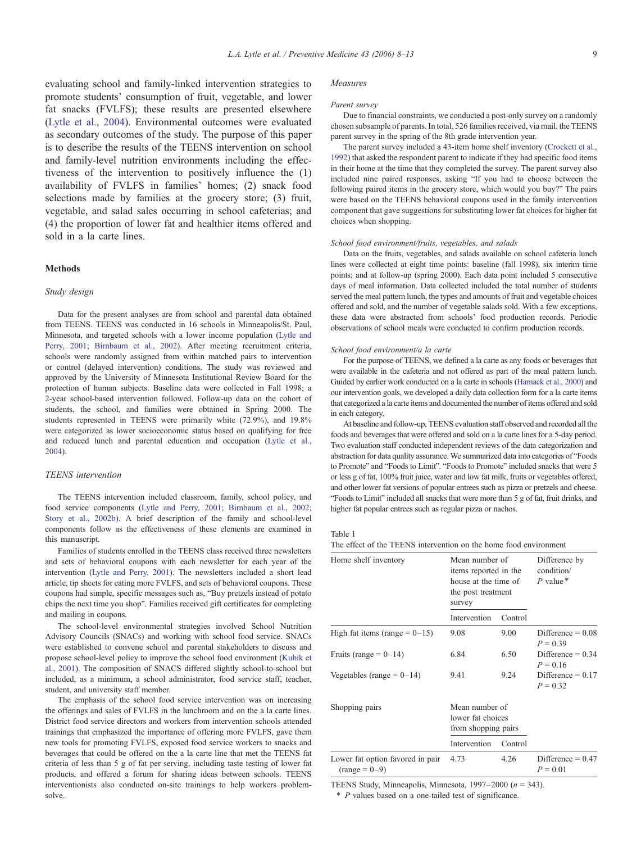<span id="page-3-0"></span>evaluating school and family-linked intervention strategies to promote students' consumption of fruit, vegetable, and lower fat snacks (FVLFS); these results are presented elsewhere ([Lytle et al., 2004\)](#page-7-0). Environmental outcomes were evaluated as secondary outcomes of the study. The purpose of this paper is to describe the results of the TEENS intervention on school and family-level nutrition environments including the effectiveness of the intervention to positively influence the (1) availability of FVLFS in families' homes; (2) snack food selections made by families at the grocery store; (3) fruit, vegetable, and salad sales occurring in school cafeterias; and (4) the proportion of lower fat and healthier items offered and sold in a la carte lines.

# Methods

#### Study design

Data for the present analyses are from school and parental data obtained from TEENS. TEENS was conducted in 16 schools in Minneapolis/St. Paul, Minnesota, and targeted schools with a lower income population ([Lytle and](#page-7-0) [Perry, 2001; Birnbaum et al., 2002\)](#page-7-0). After meeting recruitment criteria, schools were randomly assigned from within matched pairs to intervention or control (delayed intervention) conditions. The study was reviewed and approved by the University of Minnesota Institutional Review Board for the protection of human subjects. Baseline data were collected in Fall 1998; a 2-year school-based intervention followed. Follow-up data on the cohort of students, the school, and families were obtained in Spring 2000. The students represented in TEENS were primarily white (72.9%), and 19.8% were categorized as lower socioeconomic status based on qualifying for free and reduced lunch and parental education and occupation [\(Lytle et al.,](#page-7-0) [2004](#page-7-0)).

#### TEENS intervention

The TEENS intervention included classroom, family, school policy, and food service components [\(Lytle and Perry, 2001; Birnbaum et al., 2002;](#page-7-0) [Story et al., 2002b](#page-7-0)). A brief description of the family and school-level components follow as the effectiveness of these elements are examined in this manuscript.

Families of students enrolled in the TEENS class received three newsletters and sets of behavioral coupons with each newsletter for each year of the intervention ([Lytle and Perry, 2001\)](#page-7-0). The newsletters included a short lead article, tip sheets for eating more FVLFS, and sets of behavioral coupons. These coupons had simple, specific messages such as, "Buy pretzels instead of potato chips the next time you shop". Families received gift certificates for completing and mailing in coupons.

The school-level environmental strategies involved School Nutrition Advisory Councils (SNACs) and working with school food service. SNACs were established to convene school and parental stakeholders to discuss and propose school-level policy to improve the school food environment ([Kubik et](#page-6-0) [al., 2001\)](#page-6-0). The composition of SNACS differed slightly school-to-school but included, as a minimum, a school administrator, food service staff, teacher, student, and university staff member.

The emphasis of the school food service intervention was on increasing the offerings and sales of FVLFS in the lunchroom and on the a la carte lines. District food service directors and workers from intervention schools attended trainings that emphasized the importance of offering more FVLFS, gave them new tools for promoting FVLFS, exposed food service workers to snacks and beverages that could be offered on the a la carte line that met the TEENS fat criteria of less than 5 g of fat per serving, including taste testing of lower fat products, and offered a forum for sharing ideas between schools. TEENS interventionists also conducted on-site trainings to help workers problemsolve.

#### Measures

#### Parent survey

Due to financial constraints, we conducted a post-only survey on a randomly chosen subsample of parents. In total, 526 families received, via mail, the TEENS parent survey in the spring of the 8th grade intervention year.

The parent survey included a 43-item home shelf inventory [\(Crockett et al.,](#page-6-0) [1992](#page-6-0)) that asked the respondent parent to indicate if they had specific food items in their home at the time that they completed the survey. The parent survey also included nine paired responses, asking "If you had to choose between the following paired items in the grocery store, which would you buy?" The pairs were based on the TEENS behavioral coupons used in the family intervention component that gave suggestions for substituting lower fat choices for higher fat choices when shopping.

#### School food environment/fruits, vegetables, and salads

Data on the fruits, vegetables, and salads available on school cafeteria lunch lines were collected at eight time points: baseline (fall 1998), six interim time points; and at follow-up (spring 2000). Each data point included 5 consecutive days of meal information. Data collected included the total number of students served the meal pattern lunch, the types and amounts of fruit and vegetable choices offered and sold, and the number of vegetable salads sold. With a few exceptions, these data were abstracted from schools' food production records. Periodic observations of school meals were conducted to confirm production records.

#### School food environment/a la carte

For the purpose of TEENS, we defined a la carte as any foods or beverages that were available in the cafeteria and not offered as part of the meal pattern lunch. Guided by earlier work conducted on a la carte in schools [\(Harnack et al., 2000](#page-6-0)) and our intervention goals, we developed a daily data collection form for a la carte items that categorized a la carte items and documented the number of items offered and sold in each category.

At baseline and follow-up, TEENS evaluation staff observed and recorded all the foods and beverages that were offered and sold on a la carte lines for a 5-day period. Two evaluation staff conducted independent reviews of the data categorization and abstraction for data quality assurance. We summarized data into categories of "Foods to Promote" and "Foods to Limit". "Foods to Promote" included snacks that were 5 or less g of fat, 100% fruit juice, water and low fat milk, fruits or vegetables offered, and other lower fat versions of popular entrees such as pizza or pretzels and cheese. "Foods to Limit" included all snacks that were more than 5 g of fat, fruit drinks, and higher fat popular entrees such as regular pizza or nachos.

| The effect of the TEENS intervention on the home food environment |  |  |
|-------------------------------------------------------------------|--|--|
|-------------------------------------------------------------------|--|--|

| Home shelf inventory                                | Mean number of<br>items reported in the<br>house at the time of<br>the post treatment<br>survey |         | Difference by<br>condition/<br>$P$ value $*$ |
|-----------------------------------------------------|-------------------------------------------------------------------------------------------------|---------|----------------------------------------------|
|                                                     | Intervention                                                                                    | Control |                                              |
| High fat items (range $= 0 - 15$ )                  | 9.08                                                                                            | 9.00    | Difference = $0.08$<br>$P = 0.39$            |
| Fruits (range = $0-14$ )                            | 6.84                                                                                            | 6.50    | Difference = $0.34$<br>$P = 0.16$            |
| Vegetables (range = $0-14$ )                        | 9.41                                                                                            | 9.24    | Difference = $0.17$<br>$P = 0.32$            |
| Shopping pairs                                      | Mean number of<br>lower fat choices<br>from shopping pairs                                      |         |                                              |
|                                                     | Intervention                                                                                    | Control |                                              |
| Lower fat option favored in pair<br>$(range = 0-9)$ | 4.73                                                                                            | 4.26    | Difference = $0.47$<br>$P = 0.01$            |

TEENS Study, Minneapolis, Minnesota, 1997–2000 ( $n = 343$ ).

\* P values based on a one-tailed test of significance.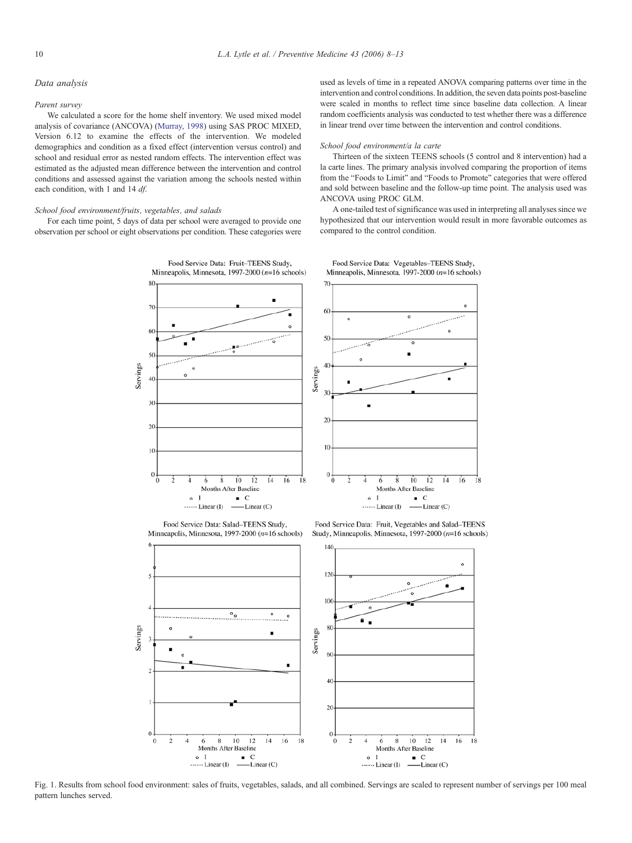### <span id="page-4-0"></span>Data analysis

#### Parent survey

We calculated a score for the home shelf inventory. We used mixed model analysis of covariance (ANCOVA) [\(Murray, 1998\)](#page-7-0) using SAS PROC MIXED, Version 6.12 to examine the effects of the intervention. We modeled demographics and condition as a fixed effect (intervention versus control) and school and residual error as nested random effects. The intervention effect was estimated as the adjusted mean difference between the intervention and control conditions and assessed against the variation among the schools nested within each condition, with 1 and 14 df.

## School food environment/fruits, vegetables, and salads

For each time point, 5 days of data per school were averaged to provide one observation per school or eight observations per condition. These categories were



Food Service Data: Salad-TEENS Study, Minneapolis, Minnesota, 1997-2000 (n=16 schools)

Food Service Data: Fruit, Vegetables and Salad-TEENS Study, Minneapolis, Minnesota, 1997-2000 (n=16 schools)



Fig. 1. Results from school food environment: sales of fruits, vegetables, salads, and all combined. Servings are scaled to represent number of servings per 100 meal pattern lunches served.

used as levels of time in a repeated ANOVA comparing patterns over time in the intervention and control conditions. In addition, the seven data points post-baseline were scaled in months to reflect time since baseline data collection. A linear random coefficients analysis was conducted to test whether there was a difference in linear trend over time between the intervention and control conditions.

#### School food environment/a la carte

Thirteen of the sixteen TEENS schools (5 control and 8 intervention) had a la carte lines. The primary analysis involved comparing the proportion of items from the "Foods to Limit" and "Foods to Promote" categories that were offered and sold between baseline and the follow-up time point. The analysis used was ANCOVA using PROC GLM.

A one-tailed test of significance was used in interpreting all analyses since we hypothesized that our intervention would result in more favorable outcomes as compared to the control condition.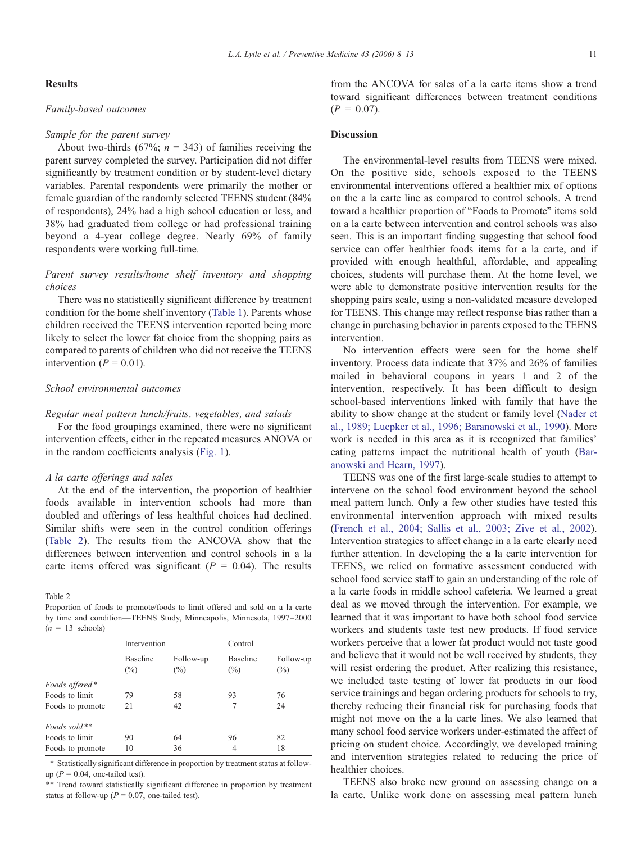# Results

# Family-based outcomes

# Sample for the parent survey

About two-thirds (67%;  $n = 343$ ) of families receiving the parent survey completed the survey. Participation did not differ significantly by treatment condition or by student-level dietary variables. Parental respondents were primarily the mother or female guardian of the randomly selected TEENS student (84% of respondents), 24% had a high school education or less, and 38% had graduated from college or had professional training beyond a 4-year college degree. Nearly 69% of family respondents were working full-time.

# Parent survey results/home shelf inventory and shopping choices

There was no statistically significant difference by treatment condition for the home shelf inventory ([Table 1\)](#page-3-0). Parents whose children received the TEENS intervention reported being more likely to select the lower fat choice from the shopping pairs as compared to parents of children who did not receive the TEENS intervention ( $P = 0.01$ ).

# School environmental outcomes

# Regular meal pattern lunch/fruits, vegetables, and salads

For the food groupings examined, there were no significant intervention effects, either in the repeated measures ANOVA or in the random coefficients analysis [\(Fig. 1\)](#page-4-0).

# A la carte offerings and sales

At the end of the intervention, the proportion of healthier foods available in intervention schools had more than doubled and offerings of less healthful choices had declined. Similar shifts were seen in the control condition offerings (Table 2). The results from the ANCOVA show that the differences between intervention and control schools in a la carte items offered was significant ( $P = 0.04$ ). The results

Table 2

Proportion of foods to promote/foods to limit offered and sold on a la carte by time and condition—TEENS Study, Minneapolis, Minnesota, 1997–2000  $(n = 13$  schools)

|                  | Intervention              |                     | Control                   |                     |
|------------------|---------------------------|---------------------|---------------------------|---------------------|
|                  | <b>Baseline</b><br>$(\%)$ | Follow-up<br>$(\%)$ | <b>Baseline</b><br>$(\%)$ | Follow-up<br>$(\%)$ |
| Foods offered*   |                           |                     |                           |                     |
| Foods to limit   | 79                        | 58                  | 93                        | 76                  |
| Foods to promote | 21                        | 42                  |                           | 24                  |
| Foods sold $**$  |                           |                     |                           |                     |
| Foods to limit   | 90                        | 64                  | 96                        | 82                  |
| Foods to promote | 10                        | 36                  | 4                         | 18                  |

\* Statistically significant difference in proportion by treatment status at followup ( $P = 0.04$ , one-tailed test).

\*\* Trend toward statistically significant difference in proportion by treatment status at follow-up ( $P = 0.07$ , one-tailed test).

L.A. Lytle et al. / Preventive Medicine 43 (2006) 8–13 11

from the ANCOVA for sales of a la carte items show a trend toward significant differences between treatment conditions  $(P = 0.07)$ .

# **Discussion**

The environmental-level results from TEENS were mixed. On the positive side, schools exposed to the TEENS environmental interventions offered a healthier mix of options on the a la carte line as compared to control schools. A trend toward a healthier proportion of "Foods to Promote" items sold on a la carte between intervention and control schools was also seen. This is an important finding suggesting that school food service can offer healthier foods items for a la carte, and if provided with enough healthful, affordable, and appealing choices, students will purchase them. At the home level, we were able to demonstrate positive intervention results for the shopping pairs scale, using a non-validated measure developed for TEENS. This change may reflect response bias rather than a change in purchasing behavior in parents exposed to the TEENS intervention.

No intervention effects were seen for the home shelf inventory. Process data indicate that 37% and 26% of families mailed in behavioral coupons in years 1 and 2 of the intervention, respectively. It has been difficult to design school-based interventions linked with family that have the ability to show change at the student or family level [\(Nader et](#page-7-0) [al., 1989; Luepker et al., 1996; Baranowski et al., 1990\)](#page-7-0). More work is needed in this area as it is recognized that families' eating patterns impact the nutritional health of youth [\(Bar](#page-6-0)[anowski and Hearn, 1997](#page-6-0)).

TEENS was one of the first large-scale studies to attempt to intervene on the school food environment beyond the school meal pattern lunch. Only a few other studies have tested this environmental intervention approach with mixed results ([French et al., 2004; Sallis et al., 2003; Zive et al., 2002\)](#page-6-0). Intervention strategies to affect change in a la carte clearly need further attention. In developing the a la carte intervention for TEENS, we relied on formative assessment conducted with school food service staff to gain an understanding of the role of a la carte foods in middle school cafeteria. We learned a great deal as we moved through the intervention. For example, we learned that it was important to have both school food service workers and students taste test new products. If food service workers perceive that a lower fat product would not taste good and believe that it would not be well received by students, they will resist ordering the product. After realizing this resistance, we included taste testing of lower fat products in our food service trainings and began ordering products for schools to try, thereby reducing their financial risk for purchasing foods that might not move on the a la carte lines. We also learned that many school food service workers under-estimated the affect of pricing on student choice. Accordingly, we developed training and intervention strategies related to reducing the price of healthier choices.

TEENS also broke new ground on assessing change on a la carte. Unlike work done on assessing meal pattern lunch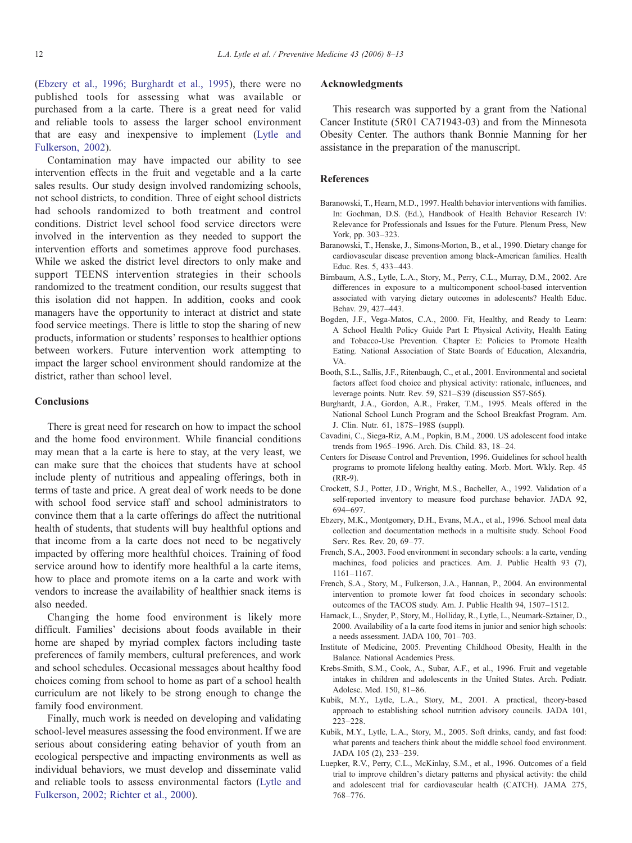<span id="page-6-0"></span>(Ebzery et al., 1996; Burghardt et al., 1995), there were no published tools for assessing what was available or purchased from a la carte. There is a great need for valid and reliable tools to assess the larger school environment that are easy and inexpensive to implement ([Lytle and](#page-7-0) [Fulkerson, 2002](#page-7-0)).

Contamination may have impacted our ability to see intervention effects in the fruit and vegetable and a la carte sales results. Our study design involved randomizing schools, not school districts, to condition. Three of eight school districts had schools randomized to both treatment and control conditions. District level school food service directors were involved in the intervention as they needed to support the intervention efforts and sometimes approve food purchases. While we asked the district level directors to only make and support TEENS intervention strategies in their schools randomized to the treatment condition, our results suggest that this isolation did not happen. In addition, cooks and cook managers have the opportunity to interact at district and state food service meetings. There is little to stop the sharing of new products, information or students' responses to healthier options between workers. Future intervention work attempting to impact the larger school environment should randomize at the district, rather than school level.

## Conclusions

There is great need for research on how to impact the school and the home food environment. While financial conditions may mean that a la carte is here to stay, at the very least, we can make sure that the choices that students have at school include plenty of nutritious and appealing offerings, both in terms of taste and price. A great deal of work needs to be done with school food service staff and school administrators to convince them that a la carte offerings do affect the nutritional health of students, that students will buy healthful options and that income from a la carte does not need to be negatively impacted by offering more healthful choices. Training of food service around how to identify more healthful a la carte items, how to place and promote items on a la carte and work with vendors to increase the availability of healthier snack items is also needed.

Changing the home food environment is likely more difficult. Families' decisions about foods available in their home are shaped by myriad complex factors including taste preferences of family members, cultural preferences, and work and school schedules. Occasional messages about healthy food choices coming from school to home as part of a school health curriculum are not likely to be strong enough to change the family food environment.

Finally, much work is needed on developing and validating school-level measures assessing the food environment. If we are serious about considering eating behavior of youth from an ecological perspective and impacting environments as well as individual behaviors, we must develop and disseminate valid and reliable tools to assess environmental factors ([Lytle and](#page-7-0) [Fulkerson, 2002; Richter et al., 2000\)](#page-7-0).

# Acknowledgments

This research was supported by a grant from the National Cancer Institute (5R01 CA71943-03) and from the Minnesota Obesity Center. The authors thank Bonnie Manning for her assistance in the preparation of the manuscript.

# References

- Baranowski, T., Hearn, M.D., 1997. Health behavior interventions with families. In: Gochman, D.S. (Ed.), Handbook of Health Behavior Research IV: Relevance for Professionals and Issues for the Future. Plenum Press, New York, pp. 303–323.
- Baranowski, T., Henske, J., Simons-Morton, B., et al., 1990. Dietary change for cardiovascular disease prevention among black-American families. Health Educ. Res. 5, 433–443.
- Birnbaum, A.S., Lytle, L.A., Story, M., Perry, C.L., Murray, D.M., 2002. Are differences in exposure to a multicomponent school-based intervention associated with varying dietary outcomes in adolescents? Health Educ. Behav. 29, 427–443.
- Bogden, J.F., Vega-Matos, C.A., 2000. Fit, Healthy, and Ready to Learn: A School Health Policy Guide Part I: Physical Activity, Health Eating and Tobacco-Use Prevention. Chapter E: Policies to Promote Health Eating. National Association of State Boards of Education, Alexandria, VA.
- Booth, S.L., Sallis, J.F., Ritenbaugh, C., et al., 2001. Environmental and societal factors affect food choice and physical activity: rationale, influences, and leverage points. Nutr. Rev. 59, S21–S39 (discussion S57-S65).
- Burghardt, J.A., Gordon, A.R., Fraker, T.M., 1995. Meals offered in the National School Lunch Program and the School Breakfast Program. Am. J. Clin. Nutr. 61, 187S–198S (suppl).
- Cavadini, C., Siega-Riz, A.M., Popkin, B.M., 2000. US adolescent food intake trends from 1965–1996. Arch. Dis. Child. 83, 18–24.
- Centers for Disease Control and Prevention, 1996. Guidelines for school health programs to promote lifelong healthy eating. Morb. Mort. Wkly. Rep. 45 (RR-9).
- Crockett, S.J., Potter, J.D., Wright, M.S., Bacheller, A., 1992. Validation of a self-reported inventory to measure food purchase behavior. JADA 92, 694–697.
- Ebzery, M.K., Montgomery, D.H., Evans, M.A., et al., 1996. School meal data collection and documentation methods in a multisite study. School Food Serv. Res. Rev. 20, 69–77.
- French, S.A., 2003. Food environment in secondary schools: a la carte, vending machines, food policies and practices. Am. J. Public Health 93 (7), 1161–1167.
- French, S.A., Story, M., Fulkerson, J.A., Hannan, P., 2004. An environmental intervention to promote lower fat food choices in secondary schools: outcomes of the TACOS study. Am. J. Public Health 94, 1507–1512.
- Harnack, L., Snyder, P., Story, M., Holliday, R., Lytle, L., Neumark-Sztainer, D., 2000. Availability of a la carte food items in junior and senior high schools: a needs assessment. JADA 100, 701–703.
- Institute of Medicine, 2005. Preventing Childhood Obesity, Health in the Balance. National Academies Press.
- Krebs-Smith, S.M., Cook, A., Subar, A.F., et al., 1996. Fruit and vegetable intakes in children and adolescents in the United States. Arch. Pediatr. Adolesc. Med. 150, 81–86.
- Kubik, M.Y., Lytle, L.A., Story, M., 2001. A practical, theory-based approach to establishing school nutrition advisory councils. JADA 101, 223–228.
- Kubik, M.Y., Lytle, L.A., Story, M., 2005. Soft drinks, candy, and fast food: what parents and teachers think about the middle school food environment. JADA 105 (2), 233–239.
- Luepker, R.V., Perry, C.L., McKinlay, S.M., et al., 1996. Outcomes of a field trial to improve children's dietary patterns and physical activity: the child and adolescent trial for cardiovascular health (CATCH). JAMA 275, 768–776.